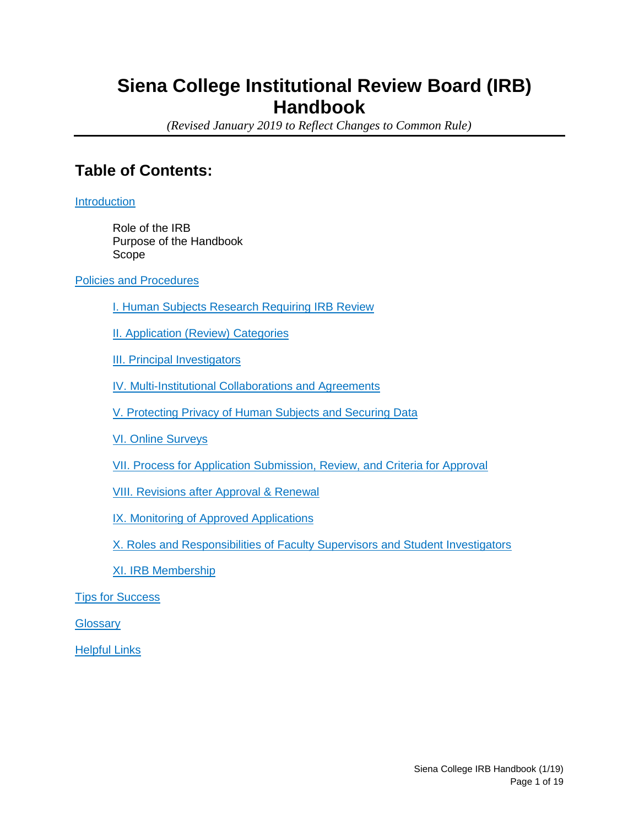# **Siena College Institutional Review Board (IRB) Handbook**

*(Revised January 2019 to Reflect Changes to Common Rule)*

# **Table of Contents:**

**[Introduction](#page-1-0)** 

Role of the IRB Purpose of the Handbook Scope

[Policies and Procedures](#page-2-0)

[I. Human Subjects Research Requiring IRB Review](#page-2-1)

**[II. Application \(Review\) Categories](#page-3-0)** 

[III. Principal Investigators](#page-5-0)

[IV. Multi-Institutional Collaborations and Agreements](#page-5-1)

[V. Protecting Privacy of Human Subjects and Securing Data](#page-6-0)

[VI. Online Surveys](#page-7-0)

[VII. Process for Application Submission, Review, and Criteria for Approval](#page-8-0)

[VIII. Revisions after Approval & Renewal](#page-11-0)

[IX. Monitoring of Approved Applications](#page-12-0)

[X. Roles and Responsibilities of Faculty Supervisors and Student Investigators](#page-13-0)

[XI. IRB Membership](#page-15-0)

[Tips for Success](#page-16-0)

**[Glossary](#page-16-1)** 

[Helpful Links](#page-18-0)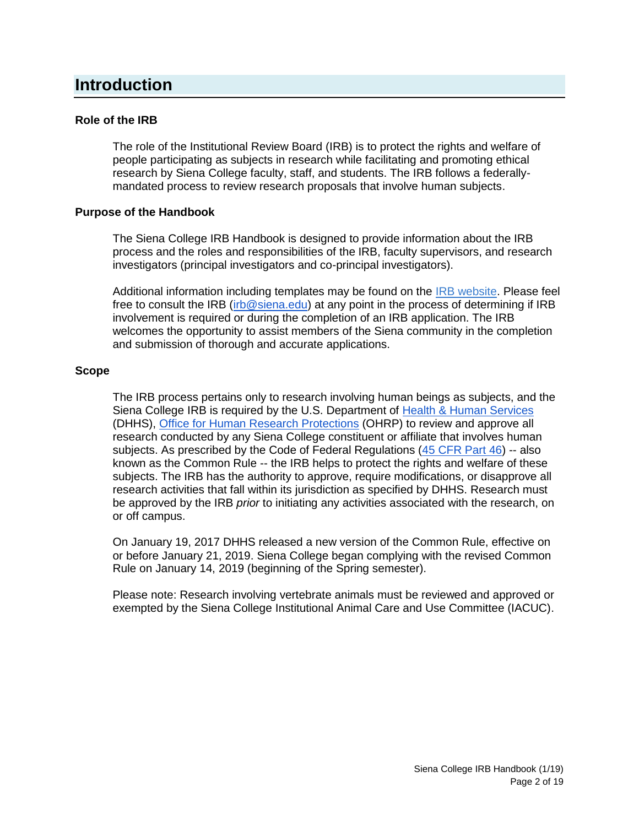# <span id="page-1-0"></span>**Introduction**

#### **Role of the IRB**

The role of the Institutional Review Board (IRB) is to protect the rights and welfare of people participating as subjects in research while facilitating and promoting ethical research by Siena College faculty, staff, and students. The IRB follows a federallymandated process to review research proposals that involve human subjects.

#### **Purpose of the Handbook**

The Siena College IRB Handbook is designed to provide information about the IRB process and the roles and responsibilities of the IRB, faculty supervisors, and research investigators (principal investigators and co-principal investigators).

Additional information including templates may be found on the [IRB website.](https://www.siena.edu/offices/institutional-effectiveness/institutional-review-board/) Please feel free to consult the IRB [\(irb@siena.edu\)](mailto:irb@siena.edu) at any point in the process of determining if IRB involvement is required or during the completion of an IRB application. The IRB welcomes the opportunity to assist members of the Siena community in the completion and submission of thorough and accurate applications.

#### **Scope**

The IRB process pertains only to research involving human beings as subjects, and the Siena College IRB is required by the U.S. Department of [Health & Human Services](http://www.hhs.gov/about/index.html) (DHHS), [Office for Human Research Protections](http://www.hhs.gov/ohrp/) (OHRP) to review and approve all research conducted by any Siena College constituent or affiliate that involves human subjects. As prescribed by the Code of Federal Regulations [\(45 CFR Part 46\)](http://www.hhs.gov/ohrp/humansubjects/guidance/45cfr46.html) -- also known as the Common Rule -- the IRB helps to protect the rights and welfare of these subjects. The IRB has the authority to approve, require modifications, or disapprove all research activities that fall within its jurisdiction as specified by DHHS. Research must be approved by the IRB *prior* to initiating any activities associated with the research, on or off campus.

On January 19, 2017 DHHS released a new version of the Common Rule, effective on or before January 21, 2019. Siena College began complying with the revised Common Rule on January 14, 2019 (beginning of the Spring semester).

Please note: Research involving vertebrate animals must be reviewed and approved or exempted by the Siena College Institutional Animal Care and Use Committee (IACUC).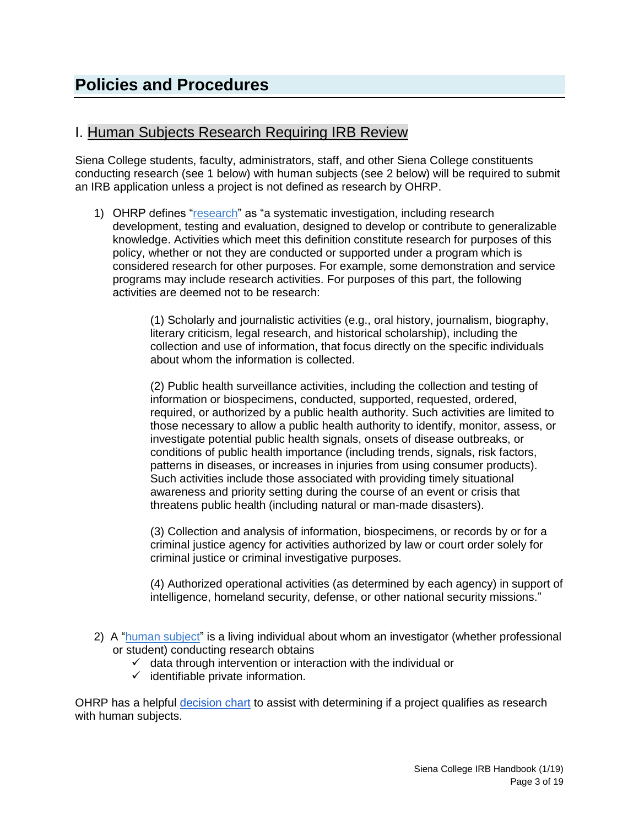## <span id="page-2-1"></span><span id="page-2-0"></span>I. Human Subjects Research Requiring IRB Review

Siena College students, faculty, administrators, staff, and other Siena College constituents conducting research (see 1 below) with human subjects (see 2 below) will be required to submit an IRB application unless a project is not defined as research by OHRP.

1) OHRP defines "research" as "a systematic investigation, including research development, testing and evaluation, designed to develop or contribute to generalizable knowledge. Activities which meet this definition constitute research for purposes of this policy, whether or not they are conducted or supported under a program which is considered research for other purposes. For example, some demonstration and service programs may include research activities. For purposes of this part, the following activities are deemed not to be research:

> (1) Scholarly and journalistic activities (e.g., oral history, journalism, biography, literary criticism, legal research, and historical scholarship), including the collection and use of information, that focus directly on the specific individuals about whom the information is collected.

(2) Public health surveillance activities, including the collection and testing of information or biospecimens, conducted, supported, requested, ordered, required, or authorized by a public health authority. Such activities are limited to those necessary to allow a public health authority to identify, monitor, assess, or investigate potential public health signals, onsets of disease outbreaks, or conditions of public health importance (including trends, signals, risk factors, patterns in diseases, or increases in injuries from using consumer products). Such activities include those associated with providing timely situational awareness and priority setting during the course of an event or crisis that threatens public health (including natural or man-made disasters).

(3) Collection and analysis of information, biospecimens, or records by or for a criminal justice agency for activities authorized by law or court order solely for criminal justice or criminal investigative purposes.

(4) Authorized operational activities (as determined by each agency) in support of intelligence, homeland security, defense, or other national security missions."

- 2) A ["human subject"](https://www.ecfr.gov/cgi-bin/retrieveECFR?gp=&SID=83cd09e1c0f5c6937cd9d7513160fc3f&pitd=20180719&n=pt45.1.46&r=PART&ty=HTML#se45.1.46_1102) is a living individual about whom an investigator (whether professional or student) conducting research obtains
	- $\checkmark$  data through intervention or interaction with the individual or
	- $\checkmark$  identifiable private information.

OHRP has a helpful [decision chart](https://www.hhs.gov/ohrp/sites/default/files/full-2016-decision-charts.pdf) to assist with determining if a project qualifies as research with human subjects.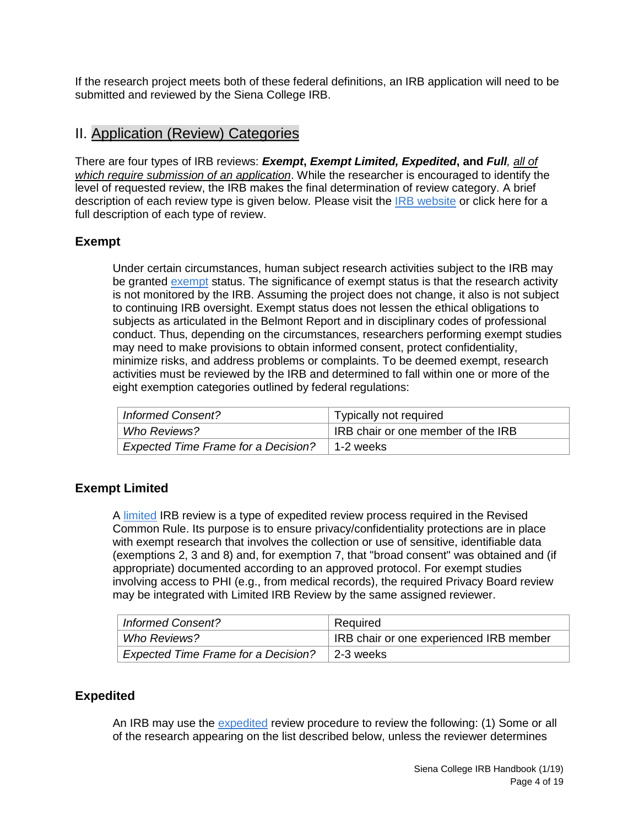If the research project meets both of these federal definitions, an IRB application will need to be submitted and reviewed by the Siena College IRB.

## <span id="page-3-0"></span>II. Application (Review) Categories

There are four types of IRB reviews: *Exempt***,** *Exempt Limited, Expedited***, and** *Full, all of which require submission of an application*. While the researcher is encouraged to identify the level of requested review, the IRB makes the final determination of review category. A brief description of each review type is given below. Please visit the [IRB website](https://www.siena.edu/offices/institutional-effectiveness/institutional-review-board/irb-application-categories/) or click here for a full description of each type of review.

### **Exempt**

Under certain circumstances, human subject research activities subject to the IRB may be granted [exempt](https://www.ecfr.gov/cgi-bin/retrieveECFR?gp=&SID=83cd09e1c0f5c6937cd9d7513160fc3f&pitd=20180719&r=PART&n=pt45.1.46#se45.1.46_1104) status. The significance of exempt status is that the research activity is not monitored by the IRB. Assuming the project does not change, it also is not subject to continuing IRB oversight. Exempt status does not lessen the ethical obligations to subjects as articulated in the Belmont Report and in disciplinary codes of professional conduct. Thus, depending on the circumstances, researchers performing exempt studies may need to make provisions to obtain informed consent, protect confidentiality, minimize risks, and address problems or complaints. To be deemed exempt, research activities must be reviewed by the IRB and determined to fall within one or more of the eight exemption categories outlined by federal regulations:

| <b>Informed Consent?</b>                   | Typically not required             |
|--------------------------------------------|------------------------------------|
| Who Reviews?                               | IRB chair or one member of the IRB |
| <b>Expected Time Frame for a Decision?</b> | ∣ 1-2 weeks                        |

### **Exempt Limited**

A [limited](https://www.ecfr.gov/cgi-bin/retrieveECFR?gp=&SID=83cd09e1c0f5c6937cd9d7513160fc3f&pitd=20180719&r=PART&n=pt45.1.46#se45.1.46_1109) IRB review is a type of expedited review process required in the Revised Common Rule. Its purpose is to ensure privacy/confidentiality protections are in place with exempt research that involves the collection or use of sensitive, identifiable data (exemptions 2, 3 and 8) and, for exemption 7, that "broad consent" was obtained and (if appropriate) documented according to an approved protocol. For exempt studies involving access to PHI (e.g., from medical records), the required Privacy Board review may be integrated with Limited IRB Review by the same assigned reviewer.

| <b>Informed Consent?</b>                   | Required                                |
|--------------------------------------------|-----------------------------------------|
| Who Reviews?                               | IRB chair or one experienced IRB member |
| <b>Expected Time Frame for a Decision?</b> | 2-3 weeks                               |

### **Expedited**

An IRB may use the [expedited](https://www.ecfr.gov/cgi-bin/retrieveECFR?gp=&SID=83cd09e1c0f5c6937cd9d7513160fc3f&pitd=20180719&r=PART&n=pt45.1.46#se45.1.46_1110) review procedure to review the following: (1) Some or all of the research appearing on the list described below, unless the reviewer determines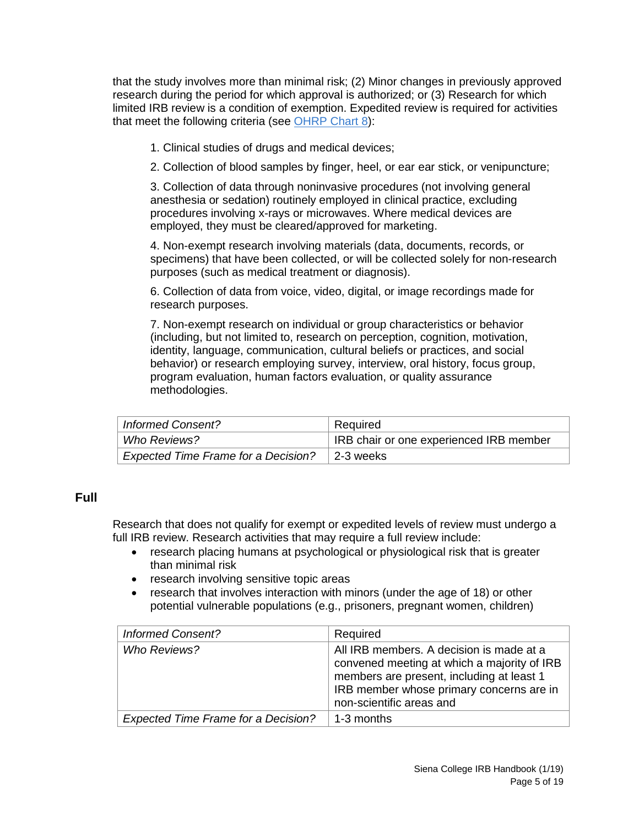that the study involves more than minimal risk; (2) Minor changes in previously approved research during the period for which approval is authorized; or (3) Research for which limited IRB review is a condition of exemption. Expedited review is required for activities that meet the following criteria (see [OHRP Chart 8\)](https://www.hhs.gov/ohrp/regulations-and-policy/decision-charts/index.html#c8):

- 1. Clinical studies of drugs and medical devices;
- 2. Collection of blood samples by finger, heel, or ear ear stick, or venipuncture;

3. Collection of data through noninvasive procedures (not involving general anesthesia or sedation) routinely employed in clinical practice, excluding procedures involving x-rays or microwaves. Where medical devices are employed, they must be cleared/approved for marketing.

4. Non-exempt research involving materials (data, documents, records, or specimens) that have been collected, or will be collected solely for non-research purposes (such as medical treatment or diagnosis).

6. Collection of data from voice, video, digital, or image recordings made for research purposes.

7. Non-exempt research on individual or group characteristics or behavior (including, but not limited to, research on perception, cognition, motivation, identity, language, communication, cultural beliefs or practices, and social behavior) or research employing survey, interview, oral history, focus group, program evaluation, human factors evaluation, or quality assurance methodologies.

| <b>Informed Consent?</b>                   | Required                                |
|--------------------------------------------|-----------------------------------------|
| <i>Who Reviews?</i>                        | IRB chair or one experienced IRB member |
| <b>Expected Time Frame for a Decision?</b> | l 2-3 weeks                             |

#### **Full**

Research that does not qualify for exempt or expedited levels of review must undergo a full IRB review. Research activities that may require a full review include:

- research placing humans at psychological or physiological risk that is greater than minimal risk
- research involving sensitive topic areas
- research that involves interaction with minors (under the age of 18) or other potential vulnerable populations (e.g., prisoners, pregnant women, children)

| <b>Informed Consent?</b>            | Required                                                                                                                                                                                                     |
|-------------------------------------|--------------------------------------------------------------------------------------------------------------------------------------------------------------------------------------------------------------|
| <b>Who Reviews?</b>                 | All IRB members. A decision is made at a<br>convened meeting at which a majority of IRB<br>members are present, including at least 1<br>IRB member whose primary concerns are in<br>non-scientific areas and |
| Expected Time Frame for a Decision? | 1-3 months                                                                                                                                                                                                   |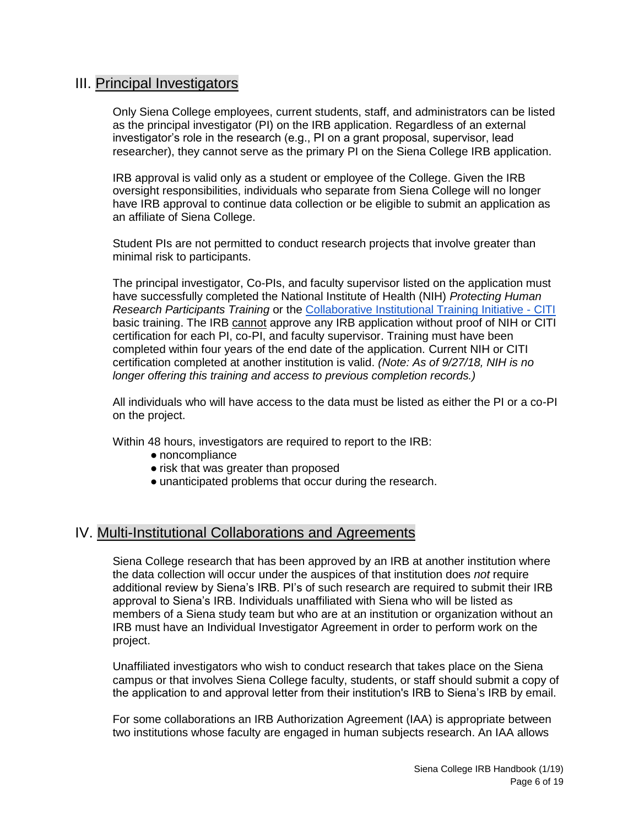### <span id="page-5-0"></span>III. Principal Investigators

Only Siena College employees, current students, staff, and administrators can be listed as the principal investigator (PI) on the IRB application. Regardless of an external investigator's role in the research (e.g., PI on a grant proposal, supervisor, lead researcher), they cannot serve as the primary PI on the Siena College IRB application.

IRB approval is valid only as a student or employee of the College. Given the IRB oversight responsibilities, individuals who separate from Siena College will no longer have IRB approval to continue data collection or be eligible to submit an application as an affiliate of Siena College.

Student PIs are not permitted to conduct research projects that involve greater than minimal risk to participants.

The principal investigator, Co-PIs, and faculty supervisor listed on the application must have successfully completed the National Institute of Health (NIH) *[Protecting Human](https://community.siena.edu/academic-affairs/offices/institutional-effectiveness/institutional-review-board/nih-online-certification-training/)  [Research Participants Training](https://community.siena.edu/academic-affairs/offices/institutional-effectiveness/institutional-review-board/nih-online-certification-training/)* or the [Collaborative Institutional Training Initiative -](https://www.citiprogram.org/) CITI basic training. The IRB cannot approve any IRB application without proof of NIH or CITI certification for each PI, co-PI, and faculty supervisor. Training must have been completed within four years of the end date of the application. Current NIH or CITI certification completed at another institution is valid. *(Note: As of 9/27/18, NIH is no longer offering this training and access to previous completion records.)*

All individuals who will have access to the data must be listed as either the PI or a co-PI on the project.

Within 48 hours, investigators are required to report to the IRB:

- noncompliance
- risk that was greater than proposed
- unanticipated problems that occur during the research.

### <span id="page-5-1"></span>IV. Multi-Institutional Collaborations and Agreements

Siena College research that has been approved by an IRB at another institution where the data collection will occur under the auspices of that institution does *not* require additional review by Siena's IRB. PI's of such research are required to submit their IRB approval to Siena's IRB. Individuals unaffiliated with Siena who will be listed as members of a Siena study team but who are at an institution or organization without an IRB must have an Individual Investigator Agreement in order to perform work on the project.

Unaffiliated investigators who wish to conduct research that takes place on the Siena campus or that involves Siena College faculty, students, or staff should submit a copy of the application to and approval letter from their institution's IRB to Siena's IRB by email.

For some collaborations an IRB Authorization Agreement (IAA) is appropriate between two institutions whose faculty are engaged in human subjects research. An IAA allows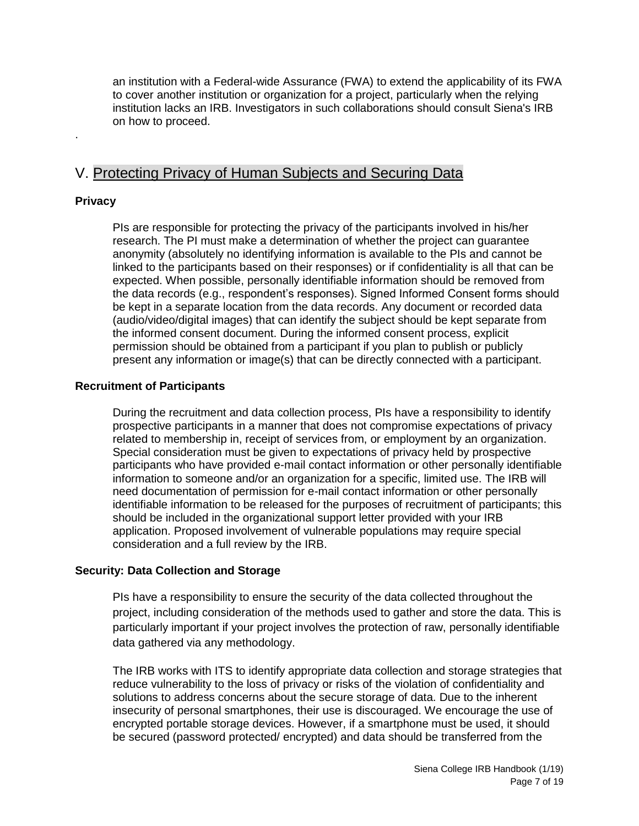<span id="page-6-0"></span>an institution with a Federal-wide Assurance (FWA) to extend the applicability of its FWA to cover another institution or organization for a project, particularly when the relying institution lacks an IRB. Investigators in such collaborations should consult Siena's IRB on how to proceed.

## V. Protecting Privacy of Human Subjects and Securing Data

#### **Privacy**

.

PIs are responsible for protecting the privacy of the participants involved in his/her research. The PI must make a determination of whether the project can guarantee anonymity (absolutely no identifying information is available to the PIs and cannot be linked to the participants based on their responses) or if confidentiality is all that can be expected. When possible, personally identifiable information should be removed from the data records (e.g., respondent's responses). Signed Informed Consent forms should be kept in a separate location from the data records. Any document or recorded data (audio/video/digital images) that can identify the subject should be kept separate from the informed consent document. During the informed consent process, explicit permission should be obtained from a participant if you plan to publish or publicly present any information or image(s) that can be directly connected with a participant.

#### **Recruitment of Participants**

During the recruitment and data collection process, PIs have a responsibility to identify prospective participants in a manner that does not compromise expectations of privacy related to membership in, receipt of services from, or employment by an organization. Special consideration must be given to expectations of privacy held by prospective participants who have provided e-mail contact information or other personally identifiable information to someone and/or an organization for a specific, limited use. The IRB will need documentation of permission for e-mail contact information or other personally identifiable information to be released for the purposes of recruitment of participants; this should be included in the organizational support letter provided with your IRB application. Proposed involvement of vulnerable populations may require special consideration and a full review by the IRB.

#### **Security: Data Collection and Storage**

PIs have a responsibility to ensure the security of the data collected throughout the project, including consideration of the methods used to gather and store the data. This is particularly important if your project involves the protection of raw, personally identifiable data gathered via any methodology.

The IRB works with ITS to identify appropriate data collection and storage strategies that reduce vulnerability to the loss of privacy or risks of the violation of confidentiality and solutions to address concerns about the secure storage of data. Due to the inherent insecurity of personal smartphones, their use is discouraged. We encourage the use of encrypted portable storage devices. However, if a smartphone must be used, it should be secured (password protected/ encrypted) and data should be transferred from the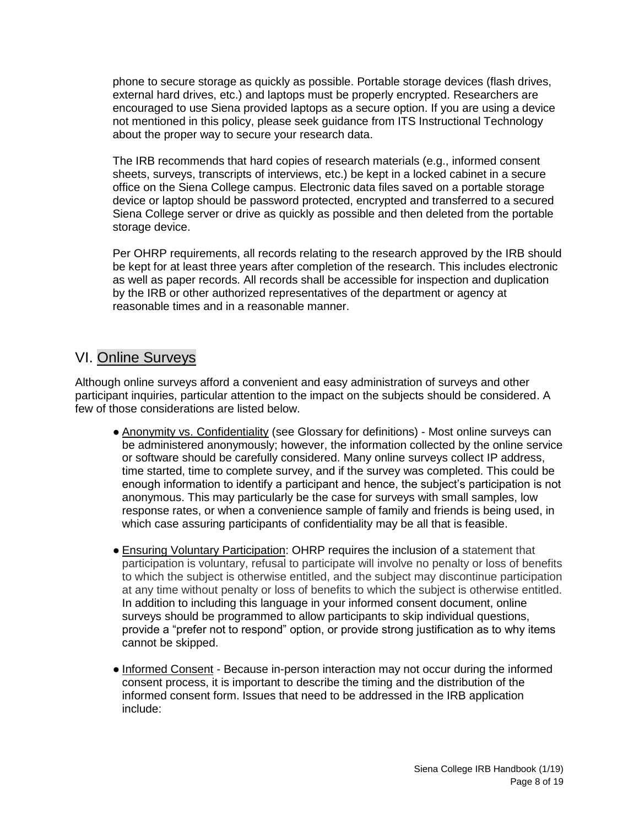phone to secure storage as quickly as possible. Portable storage devices (flash drives, external hard drives, etc.) and laptops must be properly encrypted. Researchers are encouraged to use Siena provided laptops as a secure option. If you are using a device not mentioned in this policy, please seek guidance from ITS Instructional Technology about the proper way to secure your research data.

The IRB recommends that hard copies of research materials (e.g., informed consent sheets, surveys, transcripts of interviews, etc.) be kept in a locked cabinet in a secure office on the Siena College campus. Electronic data files saved on a portable storage device or laptop should be password protected, encrypted and transferred to a secured Siena College server or drive as quickly as possible and then deleted from the portable storage device.

Per OHRP requirements, all records relating to the research approved by the IRB should be kept for at least three years after completion of the research. This includes electronic as well as paper records. All records shall be accessible for inspection and duplication by the IRB or other authorized representatives of the department or agency at reasonable times and in a reasonable manner.

## <span id="page-7-0"></span>VI. Online Surveys

Although online surveys afford a convenient and easy administration of surveys and other participant inquiries, particular attention to the impact on the subjects should be considered. A few of those considerations are listed below.

- Anonymity vs. Confidentiality (see Glossary for definitions) Most online surveys can be administered anonymously; however, the information collected by the online service or software should be carefully considered. Many online surveys collect IP address, time started, time to complete survey, and if the survey was completed. This could be enough information to identify a participant and hence, the subject's participation is not anonymous. This may particularly be the case for surveys with small samples, low response rates, or when a convenience sample of family and friends is being used, in which case assuring participants of confidentiality may be all that is feasible.
- Ensuring Voluntary Participation: OHRP requires the inclusion of a statement that participation is voluntary, refusal to participate will involve no penalty or loss of benefits to which the subject is otherwise entitled, and the subject may discontinue participation at any time without penalty or loss of benefits to which the subject is otherwise entitled. In addition to including this language in your informed consent document, online surveys should be programmed to allow participants to skip individual questions, provide a "prefer not to respond" option, or provide strong justification as to why items cannot be skipped.
- Informed Consent Because in-person interaction may not occur during the informed consent process, it is important to describe the timing and the distribution of the informed consent form. Issues that need to be addressed in the IRB application include: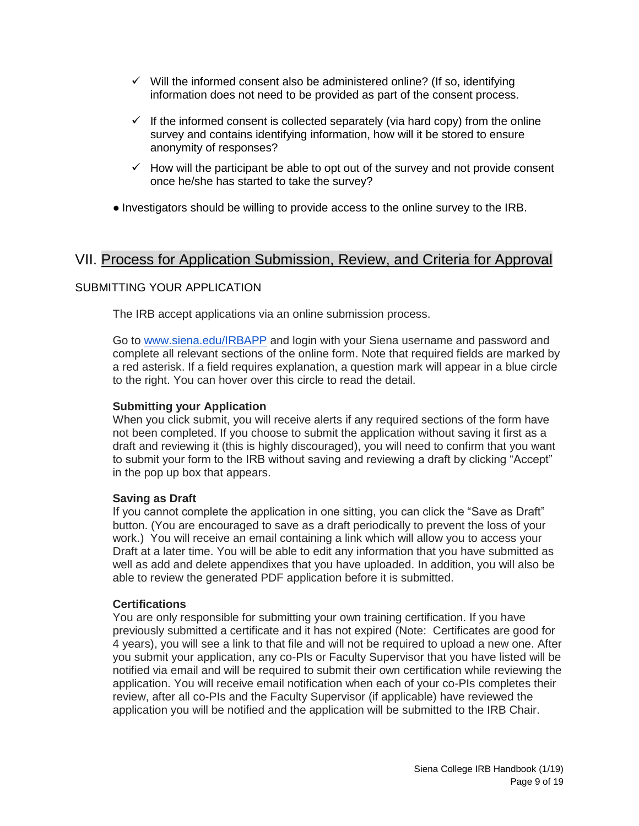- $\checkmark$  Will the informed consent also be administered online? (If so, identifying information does not need to be provided as part of the consent process.
- $\checkmark$  If the informed consent is collected separately (via hard copy) from the online survey and contains identifying information, how will it be stored to ensure anonymity of responses?
- $\checkmark$  How will the participant be able to opt out of the survey and not provide consent once he/she has started to take the survey?
- Investigators should be willing to provide access to the online survey to the IRB.

### <span id="page-8-0"></span>VII. Process for Application Submission, Review, and Criteria for Approval

#### SUBMITTING YOUR APPLICATION

The IRB accept applications via an online submission process.

Go to [www.siena.edu/IRBAPP](http://www.siena.edu/IRBAPP) and login with your Siena username and password and complete all relevant sections of the online form. Note that required fields are marked by a red asterisk. If a field requires explanation, a question mark will appear in a blue circle to the right. You can hover over this circle to read the detail.

#### **Submitting your Application**

When you click submit, you will receive alerts if any required sections of the form have not been completed. If you choose to submit the application without saving it first as a draft and reviewing it (this is highly discouraged), you will need to confirm that you want to submit your form to the IRB without saving and reviewing a draft by clicking "Accept" in the pop up box that appears.

#### **Saving as Draft**

If you cannot complete the application in one sitting, you can click the "Save as Draft" button. (You are encouraged to save as a draft periodically to prevent the loss of your work.) You will receive an email containing a link which will allow you to access your Draft at a later time. You will be able to edit any information that you have submitted as well as add and delete appendixes that you have uploaded. In addition, you will also be able to review the generated PDF application before it is submitted.

#### **Certifications**

You are only responsible for submitting your own training certification. If you have previously submitted a certificate and it has not expired (Note: Certificates are good for 4 years), you will see a link to that file and will not be required to upload a new one. After you submit your application, any co-PIs or Faculty Supervisor that you have listed will be notified via email and will be required to submit their own certification while reviewing the application. You will receive email notification when each of your co-PIs completes their review, after all co-PIs and the Faculty Supervisor (if applicable) have reviewed the application you will be notified and the application will be submitted to the IRB Chair.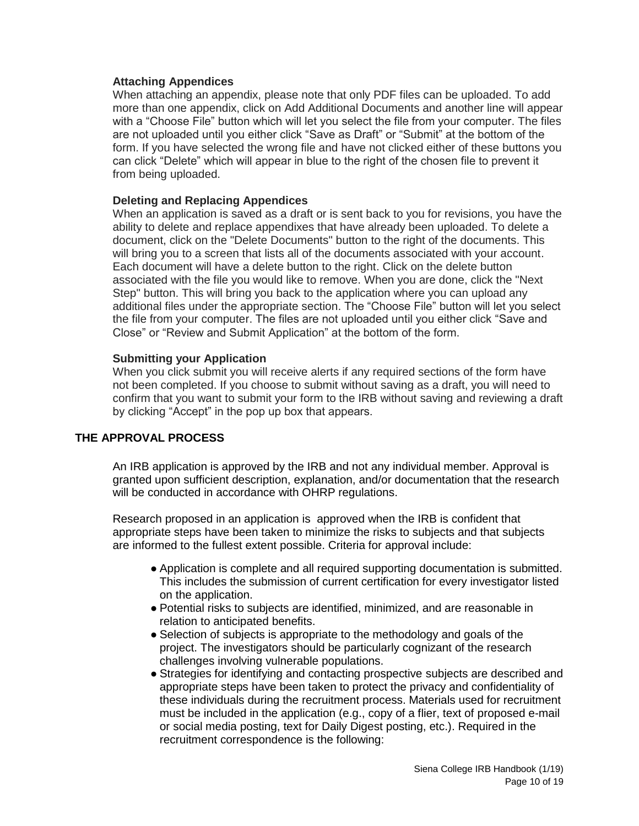#### **Attaching Appendices**

When attaching an appendix, please note that only PDF files can be uploaded. To add more than one appendix, click on Add Additional Documents and another line will appear with a "Choose File" button which will let you select the file from your computer. The files are not uploaded until you either click "Save as Draft" or "Submit" at the bottom of the form. If you have selected the wrong file and have not clicked either of these buttons you can click "Delete" which will appear in blue to the right of the chosen file to prevent it from being uploaded.

#### **Deleting and Replacing Appendices**

When an application is saved as a draft or is sent back to you for revisions, you have the ability to delete and replace appendixes that have already been uploaded. To delete a document, click on the "Delete Documents" button to the right of the documents. This will bring you to a screen that lists all of the documents associated with your account. Each document will have a delete button to the right. Click on the delete button associated with the file you would like to remove. When you are done, click the "Next Step" button. This will bring you back to the application where you can upload any additional files under the appropriate section. The "Choose File" button will let you select the file from your computer. The files are not uploaded until you either click "Save and Close" or "Review and Submit Application" at the bottom of the form.

#### **Submitting your Application**

When you click submit you will receive alerts if any required sections of the form have not been completed. If you choose to submit without saving as a draft, you will need to confirm that you want to submit your form to the IRB without saving and reviewing a draft by clicking "Accept" in the pop up box that appears.

#### **THE APPROVAL PROCESS**

An IRB application is approved by the IRB and not any individual member. Approval is granted upon sufficient description, explanation, and/or documentation that the research will be conducted in accordance with OHRP regulations.

Research proposed in an application is approved when the IRB is confident that appropriate steps have been taken to minimize the risks to subjects and that subjects are informed to the fullest extent possible. Criteria for approval include:

- Application is complete and all required supporting documentation is submitted. This includes the submission of current certification for every investigator listed on the application.
- Potential risks to subjects are identified, minimized, and are reasonable in relation to anticipated benefits.
- Selection of subjects is appropriate to the methodology and goals of the project. The investigators should be particularly cognizant of the research challenges involving vulnerable populations.
- Strategies for identifying and contacting prospective subjects are described and appropriate steps have been taken to protect the privacy and confidentiality of these individuals during the recruitment process. Materials used for recruitment must be included in the application (e.g., copy of a flier, text of proposed e-mail or social media posting, text for Daily Digest posting, etc.). Required in the recruitment correspondence is the following: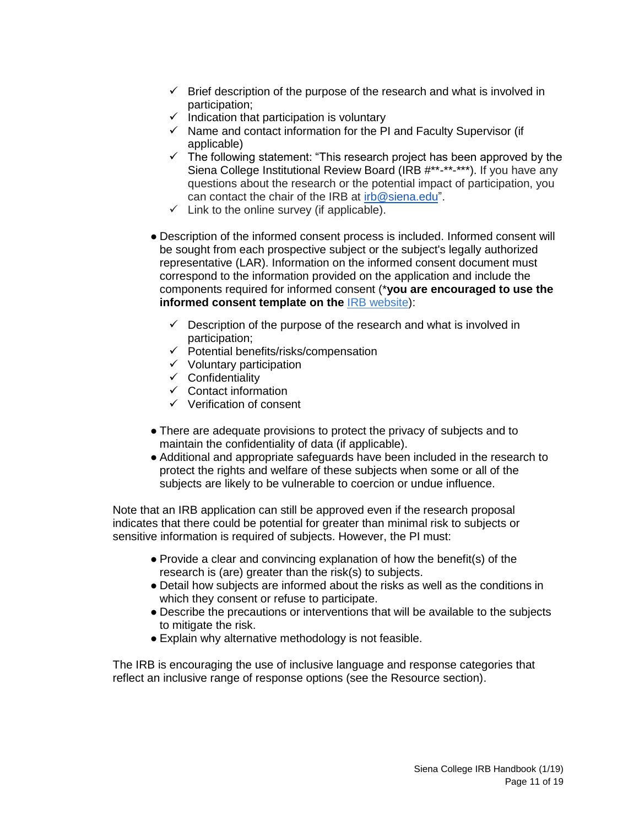- $\checkmark$  Brief description of the purpose of the research and what is involved in participation;
- $\checkmark$  Indication that participation is voluntary
- $\checkmark$  Name and contact information for the PI and Faculty Supervisor (if applicable)
- $\checkmark$  The following statement: "This research project has been approved by the Siena College Institutional Review Board (IRB #\*\*-\*\*-\*\*\*). If you have any questions about the research or the potential impact of participation, you can contact the chair of the IRB at [irb@siena.edu"](mailto:irb@siena.edu).
- $\checkmark$  Link to the online survey (if applicable).
- Description of the informed consent process is included. Informed consent will be sought from each prospective subject or the subject's legally authorized representative (LAR). Information on the informed consent document must correspond to the information provided on the application and include the components required for informed consent (\***you are encouraged to use the [informed consent template](https://community.siena.edu/assets/file_manager/insecure_file/Informed_Consent_Template_updated_2_17.pdf) on the** [IRB website\)](https://www.siena.edu/offices/institutional-effectiveness/institutional-review-board/):
	- $\checkmark$  Description of the purpose of the research and what is involved in participation;
	- $\checkmark$  Potential benefits/risks/compensation
	- $\checkmark$  Voluntary participation
	- $\checkmark$  Confidentiality
	- $\checkmark$  Contact information
	- $\checkmark$  Verification of consent
- There are adequate provisions to protect the privacy of subjects and to maintain the confidentiality of data (if applicable).
- Additional and appropriate safeguards have been included in the research to protect the rights and welfare of these subjects when some or all of the subjects are likely to be vulnerable to coercion or undue influence.

Note that an IRB application can still be approved even if the research proposal indicates that there could be potential for greater than minimal risk to subjects or sensitive information is required of subjects. However, the PI must:

- Provide a clear and convincing explanation of how the benefit(s) of the research is (are) greater than the risk(s) to subjects.
- Detail how subjects are informed about the risks as well as the conditions in which they consent or refuse to participate.
- Describe the precautions or interventions that will be available to the subjects to mitigate the risk.
- Explain why alternative methodology is not feasible.

The IRB is encouraging the use of inclusive language and response categories that reflect an inclusive range of response options (see the Resource section).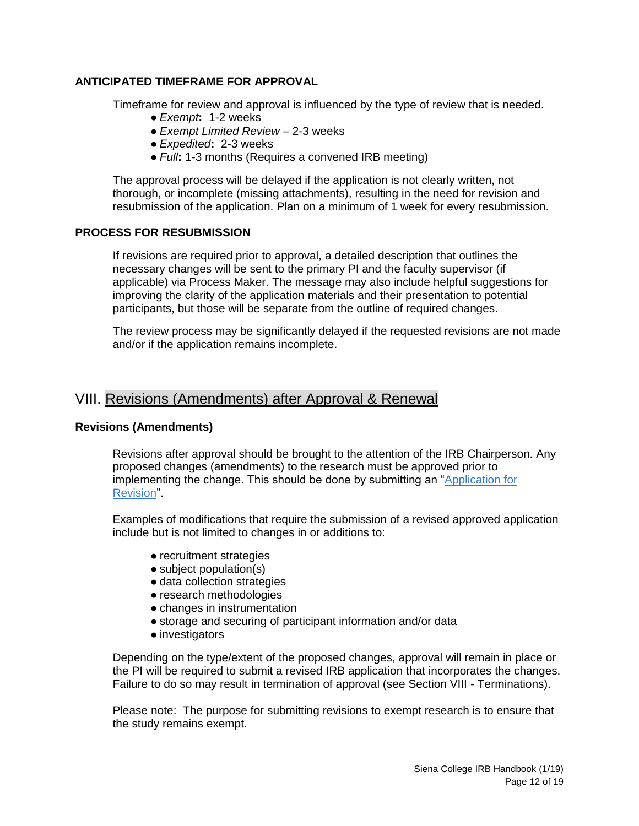#### **ANTICIPATED TIMEFRAME FOR APPROVAL**

Timeframe for review and approval is influenced by the type of review that is needed.

- *Exempt***:** 1-2 weeks
- *Exempt Limited Review* 2-3 weeks
- *Expedited***:** 2-3 weeks
- *Full***:** 1-3 months (Requires a convened IRB meeting)

The approval process will be delayed if the application is not clearly written, not thorough, or incomplete (missing attachments), resulting in the need for revision and resubmission of the application. Plan on a minimum of 1 week for every resubmission.

#### **PROCESS FOR RESUBMISSION**

If revisions are required prior to approval, a detailed description that outlines the necessary changes will be sent to the primary PI and the faculty supervisor (if applicable) via Process Maker. The message may also include helpful suggestions for improving the clarity of the application materials and their presentation to potential participants, but those will be separate from the outline of required changes.

The review process may be significantly delayed if the requested revisions are not made and/or if the application remains incomplete.

## <span id="page-11-0"></span>VIII. Revisions (Amendments) after Approval & Renewal

#### **Revisions (Amendments)**

Revisions after approval should be brought to the attention of the IRB Chairperson. Any proposed changes (amendments) to the research must be approved prior to implementing the change. This should be done by submitting an ["Application for](https://workflow.siena.edu/sysIRB/en/green/login/login?u=/sysIRB/en/green/3735766785761a9de013962066316389/Application_for_Revision.php)  [Revision"](https://workflow.siena.edu/sysIRB/en/green/login/login?u=/sysIRB/en/green/3735766785761a9de013962066316389/Application_for_Revision.php).

Examples of modifications that require the submission of a revised approved application include but is not limited to changes in or additions to:

- recruitment strategies
- subject population(s)
- data collection strategies
- research methodologies
- changes in instrumentation
- storage and securing of participant information and/or data
- investigators

Depending on the type/extent of the proposed changes, approval will remain in place or the PI will be required to submit a revised IRB application that incorporates the changes. Failure to do so may result in termination of approval (see Section VIII - Terminations).

Please note: The purpose for submitting revisions to exempt research is to ensure that the study remains exempt.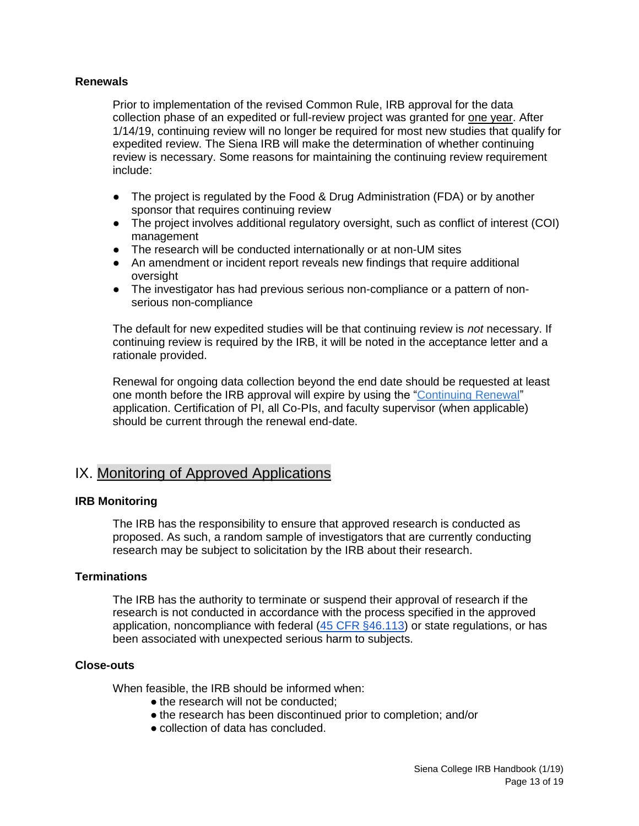#### <span id="page-12-0"></span>**Renewals**

Prior to implementation of the revised Common Rule, IRB approval for the data collection phase of an expedited or full-review project was granted for one year. After 1/14/19, continuing review will no longer be required for most new studies that qualify for expedited review. The Siena IRB will make the determination of whether continuing review is necessary. Some reasons for maintaining the continuing review requirement include:

- The project is regulated by the Food & Drug Administration (FDA) or by another sponsor that requires continuing review
- The project involves additional regulatory oversight, such as conflict of interest (COI) management
- The research will be conducted internationally or at non-UM sites
- An amendment or incident report reveals new findings that require additional oversight
- The investigator has had previous serious non-compliance or a pattern of nonserious non-compliance

The default for new expedited studies will be that continuing review is *not* necessary. If continuing review is required by the IRB, it will be noted in the acceptance letter and a rationale provided.

Renewal for ongoing data collection beyond the end date should be requested at least one month before the IRB approval will expire by using the ["Continuing Renewal"](https://workflow.siena.edu/sysIRB/en/green/login/login?u=/sysIRB/en/green/3735766785761a9de013962066316389/Renewal.php) application. Certification of PI, all Co-PIs, and faculty supervisor (when applicable) should be current through the renewal end-date.

## IX. Monitoring of Approved Applications

#### **IRB Monitoring**

The IRB has the responsibility to ensure that approved research is conducted as proposed. As such, a random sample of investigators that are currently conducting research may be subject to solicitation by the IRB about their research.

#### **Terminations**

The IRB has the authority to terminate or suspend their approval of research if the research is not conducted in accordance with the process specified in the approved application, noncompliance with federal [\(45 CFR §46.113\)](http://www.hhs.gov/ohrp/humansubjects/guidance/45cfr46.html) or state regulations, or has been associated with unexpected serious harm to subjects.

#### **Close-outs**

When feasible, the IRB should be informed when:

- the research will not be conducted:
- the research has been discontinued prior to completion; and/or
- collection of data has concluded.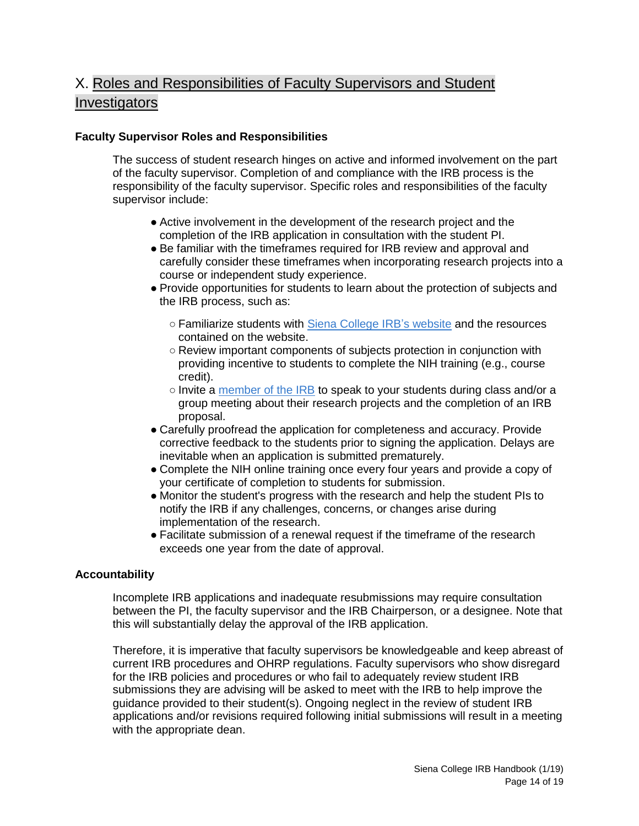# <span id="page-13-0"></span>X. Roles and Responsibilities of Faculty Supervisors and Student Investigators

#### **Faculty Supervisor Roles and Responsibilities**

The success of student research hinges on active and informed involvement on the part of the faculty supervisor. Completion of and compliance with the IRB process is the responsibility of the faculty supervisor. Specific roles and responsibilities of the faculty supervisor include:

- Active involvement in the development of the research project and the completion of the IRB application in consultation with the student PI.
- Be familiar with the timeframes required for IRB review and approval and carefully consider these timeframes when incorporating research projects into a course or independent study experience.
- Provide opportunities for students to learn about the protection of subjects and the IRB process, such as:
	- o Familiarize students with [Siena College IRB's website](https://www.siena.edu/offices/institutional-effectiveness/institutional-review-board/) and the resources contained on the website.
	- Review important components of subjects protection in conjunction with providing incentive to students to complete the NIH training (e.g., course credit).
	- $\circ$  Invite a [member of the IRB](https://www.siena.edu/offices/institutional-effectiveness/institutional-review-board/institutional-review-board-irb-members/) to speak to your students during class and/or a group meeting about their research projects and the completion of an IRB proposal.
- Carefully proofread the application for completeness and accuracy. Provide corrective feedback to the students prior to signing the application. Delays are inevitable when an application is submitted prematurely.
- Complete the NIH online training once every four years and provide a copy of your certificate of completion to students for submission.
- Monitor the student's progress with the research and help the student PIs to notify the IRB if any challenges, concerns, or changes arise during implementation of the research.
- Facilitate submission of a renewal request if the timeframe of the research exceeds one year from the date of approval.

#### **Accountability**

Incomplete IRB applications and inadequate resubmissions may require consultation between the PI, the faculty supervisor and the IRB Chairperson, or a designee. Note that this will substantially delay the approval of the IRB application.

Therefore, it is imperative that faculty supervisors be knowledgeable and keep abreast of current IRB procedures and OHRP regulations. Faculty supervisors who show disregard for the IRB policies and procedures or who fail to adequately review student IRB submissions they are advising will be asked to meet with the IRB to help improve the guidance provided to their student(s). Ongoing neglect in the review of student IRB applications and/or revisions required following initial submissions will result in a meeting with the appropriate dean.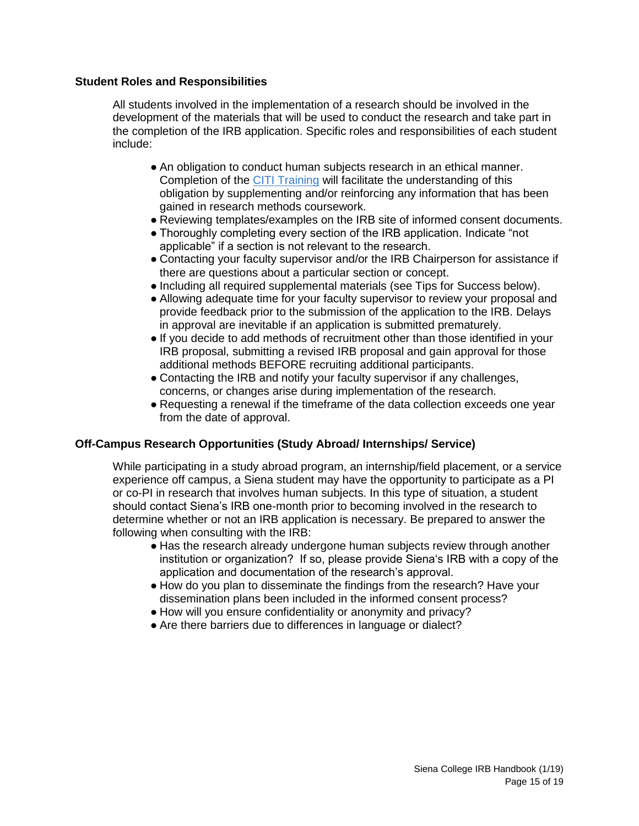#### **Student Roles and Responsibilities**

All students involved in the implementation of a research should be involved in the development of the materials that will be used to conduct the research and take part in the completion of the IRB application. Specific roles and responsibilities of each student include:

- An obligation to conduct human subjects research in an ethical manner. Completion of the [CITI Training](https://www.siena.edu/offices/institutional-effectiveness/institutional-review-board/online-certification-training/citi-certification/) will facilitate the understanding of this obligation by supplementing and/or reinforcing any information that has been gained in research methods coursework.
- Reviewing templates/examples on the IRB site of informed consent documents.
- Thoroughly completing every section of the IRB application. Indicate "not applicable" if a section is not relevant to the research.
- Contacting your faculty supervisor and/or the IRB Chairperson for assistance if there are questions about a particular section or concept.
- Including all required supplemental materials (see Tips for Success below).
- Allowing adequate time for your faculty supervisor to review your proposal and provide feedback prior to the submission of the application to the IRB. Delays in approval are inevitable if an application is submitted prematurely.
- If you decide to add methods of recruitment other than those identified in your IRB proposal, submitting a revised IRB proposal and gain approval for those additional methods BEFORE recruiting additional participants.
- Contacting the IRB and notify your faculty supervisor if any challenges, concerns, or changes arise during implementation of the research.
- Requesting a renewal if the timeframe of the data collection exceeds one year from the date of approval.

#### **Off-Campus Research Opportunities (Study Abroad/ Internships/ Service)**

While participating in a study abroad program, an internship/field placement, or a service experience off campus, a Siena student may have the opportunity to participate as a PI or co-PI in research that involves human subjects. In this type of situation, a student should contact Siena's IRB one-month prior to becoming involved in the research to determine whether or not an IRB application is necessary. Be prepared to answer the following when consulting with the IRB:

- Has the research already undergone human subjects review through another institution or organization? If so, please provide Siena's IRB with a copy of the application and documentation of the research's approval.
- How do you plan to disseminate the findings from the research? Have your dissemination plans been included in the informed consent process?
- How will you ensure confidentiality or anonymity and privacy?
- Are there barriers due to differences in language or dialect?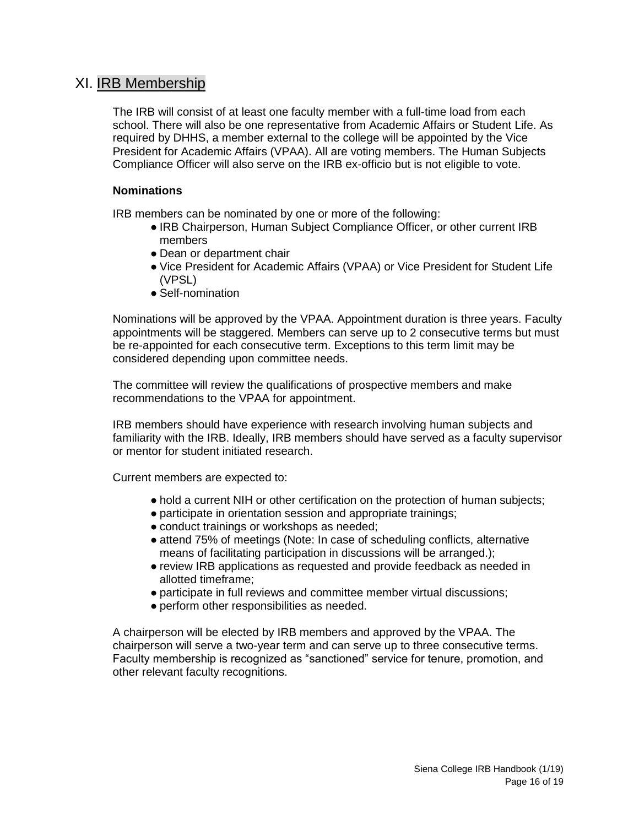### <span id="page-15-0"></span>XI. IRB Membership

The IRB will consist of at least one faculty member with a full-time load from each school. There will also be one representative from Academic Affairs or Student Life. As required by DHHS, a member external to the college will be appointed by the Vice President for Academic Affairs (VPAA). All are voting members. The Human Subjects Compliance Officer will also serve on the IRB ex-officio but is not eligible to vote.

#### **Nominations**

IRB members can be nominated by one or more of the following:

- IRB Chairperson, Human Subject Compliance Officer, or other current IRB members
- Dean or department chair
- Vice President for Academic Affairs (VPAA) or Vice President for Student Life (VPSL)
- Self-nomination

Nominations will be approved by the VPAA. Appointment duration is three years. Faculty appointments will be staggered. Members can serve up to 2 consecutive terms but must be re-appointed for each consecutive term. Exceptions to this term limit may be considered depending upon committee needs.

The committee will review the qualifications of prospective members and make recommendations to the VPAA for appointment.

IRB members should have experience with research involving human subjects and familiarity with the IRB. Ideally, IRB members should have served as a faculty supervisor or mentor for student initiated research.

Current members are expected to:

- hold a current NIH or other certification on the protection of human subjects;
- participate in orientation session and appropriate trainings;
- conduct trainings or workshops as needed;
- attend 75% of meetings (Note: In case of scheduling conflicts, alternative means of facilitating participation in discussions will be arranged.);
- review IRB applications as requested and provide feedback as needed in allotted timeframe;
- participate in full reviews and committee member virtual discussions;
- perform other responsibilities as needed.

A chairperson will be elected by IRB members and approved by the VPAA. The chairperson will serve a two-year term and can serve up to three consecutive terms. Faculty membership is recognized as "sanctioned" service for tenure, promotion, and other relevant faculty recognitions.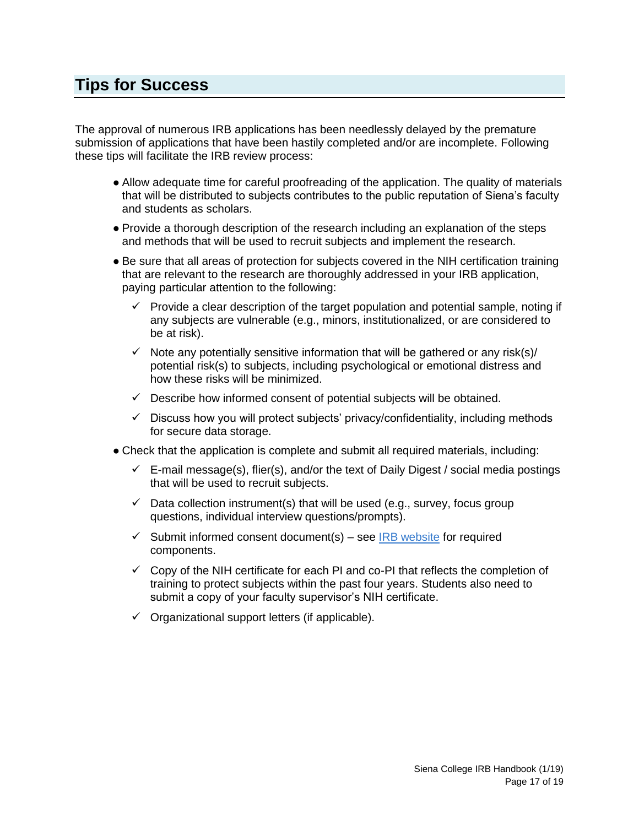# <span id="page-16-0"></span>**Tips for Success**

The approval of numerous IRB applications has been needlessly delayed by the premature submission of applications that have been hastily completed and/or are incomplete. Following these tips will facilitate the IRB review process:

- Allow adequate time for careful proofreading of the application. The quality of materials that will be distributed to subjects contributes to the public reputation of Siena's faculty and students as scholars.
- Provide a thorough description of the research including an explanation of the steps and methods that will be used to recruit subjects and implement the research.
- Be sure that all areas of protection for subjects covered in the NIH certification training that are relevant to the research are thoroughly addressed in your IRB application, paying particular attention to the following:
	- $\checkmark$  Provide a clear description of the target population and potential sample, noting if any subjects are vulnerable (e.g., minors, institutionalized, or are considered to be at risk).
	- $\checkmark$  Note any potentially sensitive information that will be gathered or any risk(s)/ potential risk(s) to subjects, including psychological or emotional distress and how these risks will be minimized.
	- $\checkmark$  Describe how informed consent of potential subjects will be obtained.
	- $\checkmark$  Discuss how you will protect subjects' privacy/confidentiality, including methods for secure data storage.
- <span id="page-16-1"></span>• Check that the application is complete and submit all required materials, including:
	- $\checkmark$  E-mail message(s), flier(s), and/or the text of Daily Digest / social media postings that will be used to recruit subjects.
	- $\checkmark$  Data collection instrument(s) that will be used (e.g., survey, focus group questions, individual interview questions/prompts).
	- $\checkmark$  Submit informed consent document(s) see [IRB website](https://www.siena.edu/offices/institutional-effectiveness/institutional-review-board/) for required components.
	- $\checkmark$  Copy of the NIH certificate for each PI and co-PI that reflects the completion of training to protect subjects within the past four years. Students also need to submit a copy of your faculty supervisor's NIH certificate.
	- $\checkmark$  Organizational support letters (if applicable).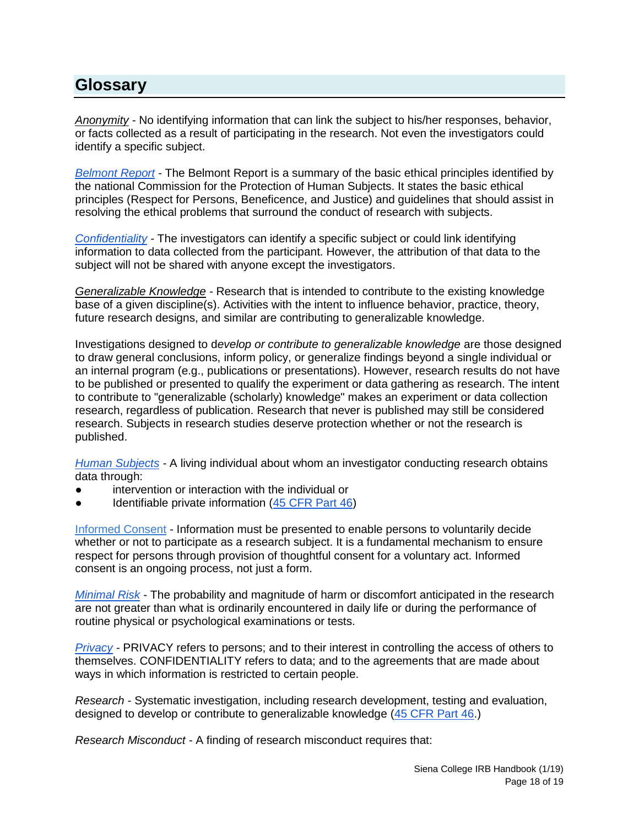# **Glossary**

*[Anonymity](http://www.unh.edu/research/sites/www.unh.edu.research/files/docs/RIS/anonymity_confidentialityprivacy.pdf) -* No identifying information that can link the subject to his/her responses, behavior, or facts collected as a result of participating in the research. Not even the investigators could identify a specific subject.

*[Belmont Report](http://www.hhs.gov/ohrp/humansubjects/guidance/belmont.html)* - The Belmont Report is a summary of the basic ethical principles identified by the national Commission for the Protection of Human Subjects. It states the basic ethical principles (Respect for Persons, Beneficence, and Justice) and guidelines that should assist in resolving the ethical problems that surround the conduct of research with subjects.

*[Confidentiality](https://www.nsf.gov/bfa/dias/policy/hsfaqs.jsp#confident) -* The investigators can identify a specific subject or could link identifying information to data collected from the participant. However, the attribution of that data to the subject will not be shared with anyone except the investigators.

*Generalizable Knowledge -* Research that is intended to contribute to the existing knowledge base of a given discipline(s). Activities with the intent to influence behavior, practice, theory, future research designs, and similar are contributing to generalizable knowledge.

Investigations designed to d*evelop or contribute to generalizable knowledge* are those designed to draw general conclusions, inform policy, or generalize findings beyond a single individual or an internal program (e.g., publications or presentations). However, research results do not have to be published or presented to qualify the experiment or data gathering as research. The intent to contribute to "generalizable (scholarly) knowledge" makes an experiment or data collection research, regardless of publication. Research that never is published may still be considered research. Subjects in research studies deserve protection whether or not the research is published.

*[Human Subjects](https://humansubjects.nih.gov/glossary) -* A living individual about whom an investigator conducting research obtains data through:

- intervention or interaction with the individual or
- Identifiable private information [\(45 CFR Part 46\)](http://www.hhs.gov/ohrp/humansubjects/guidance/45cfr46.html)

[Informed Consent](https://www.ecfr.gov/cgi-bin/retrieveECFR?gp=&SID=83cd09e1c0f5c6937cd9d7513160fc3f&pitd=20180719&n=pt45.1.46&r=PART&ty=HTML#se45.1.46_1116) *-* Information must be presented to enable persons to voluntarily decide whether or not to participate as a research subject. It is a fundamental mechanism to ensure respect for persons through provision of thoughtful consent for a voluntary act. Informed consent is an ongoing process, not just a form.

*[Minimal Risk](https://www.hhs.gov/ohrp/regulations-and-policy/regulations/45-cfr-46/index.html)* - The probability and magnitude of harm or discomfort anticipated in the research are not greater than what is ordinarily encountered in daily life or during the performance of routine physical or psychological examinations or tests.

*[Privacy](https://www.nsf.gov/bfa/dias/policy/hsfaqs.jsp#difference) -* PRIVACY refers to persons; and to their interest in controlling the access of others to themselves. CONFIDENTIALITY refers to data; and to the agreements that are made about ways in which information is restricted to certain people.

*Research -* Systematic investigation, including research development, testing and evaluation, designed to develop or contribute to generalizable knowledge [\(45 CFR Part 46.](http://www.hhs.gov/ohrp/humansubjects/guidance/45cfr46.html))

*Research Misconduct -* A finding of research misconduct requires that: